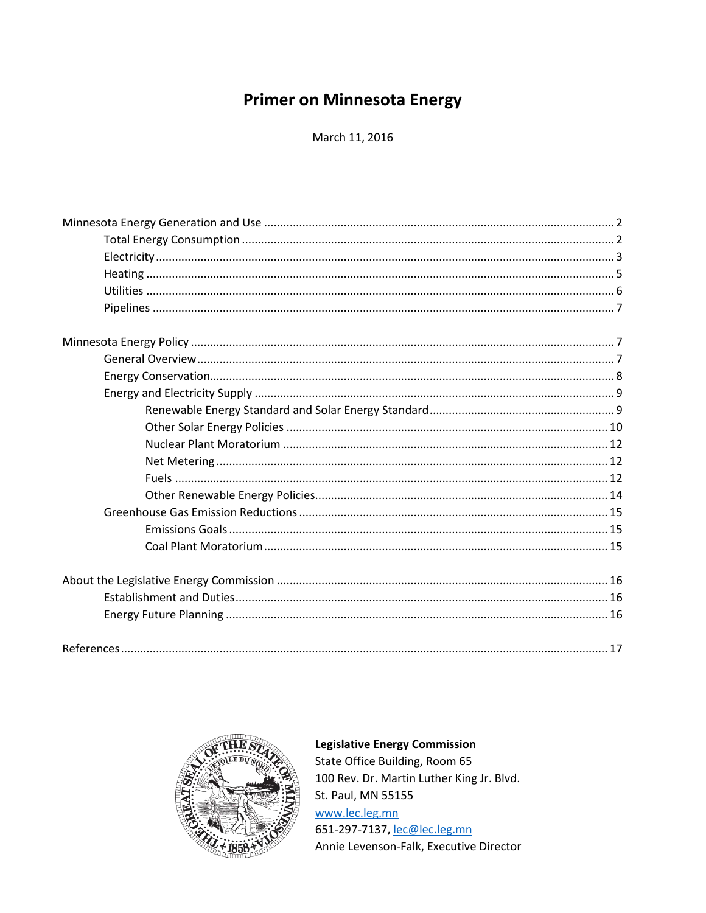# **Primer on Minnesota Energy**

March 11, 2016



# **Legislative Energy Commission**

State Office Building, Room 65 100 Rev. Dr. Martin Luther King Jr. Blvd. St. Paul, MN 55155 www.lec.leg.mn 651-297-7137, lec@lec.leg.mn Annie Levenson-Falk, Executive Director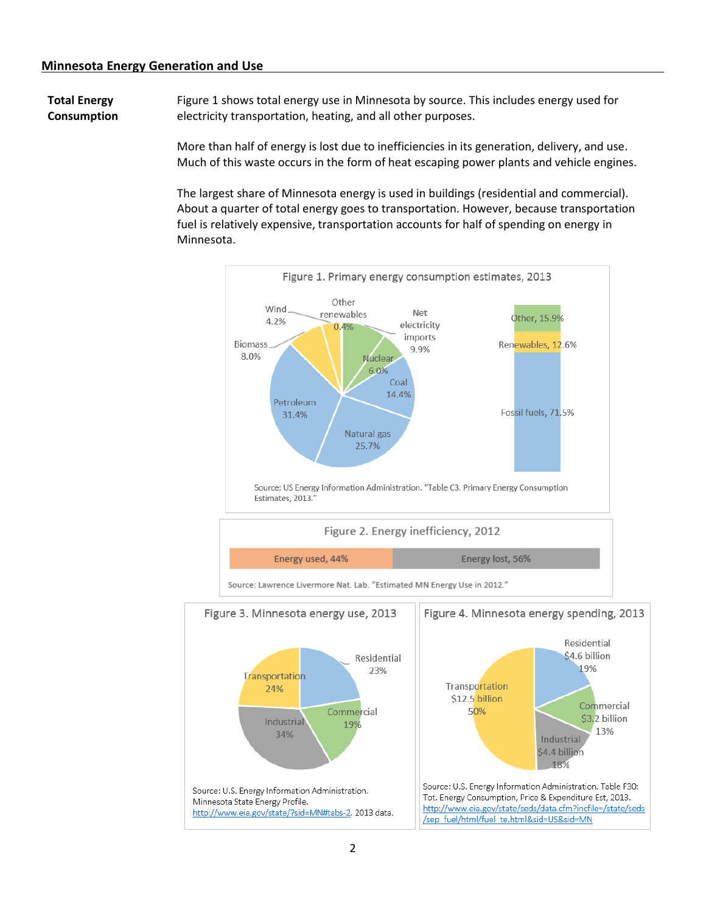**Total Energy Consumption** Figure 1 shows total energy use in Minnesota by source. This includes energy used for electricity transportation, heating, and all other purposes.

> More than half of energy is lost due to inefficiencies in its generation, delivery, and use. Much of this waste occurs in the form of heat escaping power plants and vehicle engines.

> The largest share of Minnesota energy is used in buildings (residential and commercial). About a quarter of total energy goes to transportation. However, because transportation fuel is relatively expensive, transportation accounts for half of spending on energy in Minnesota.

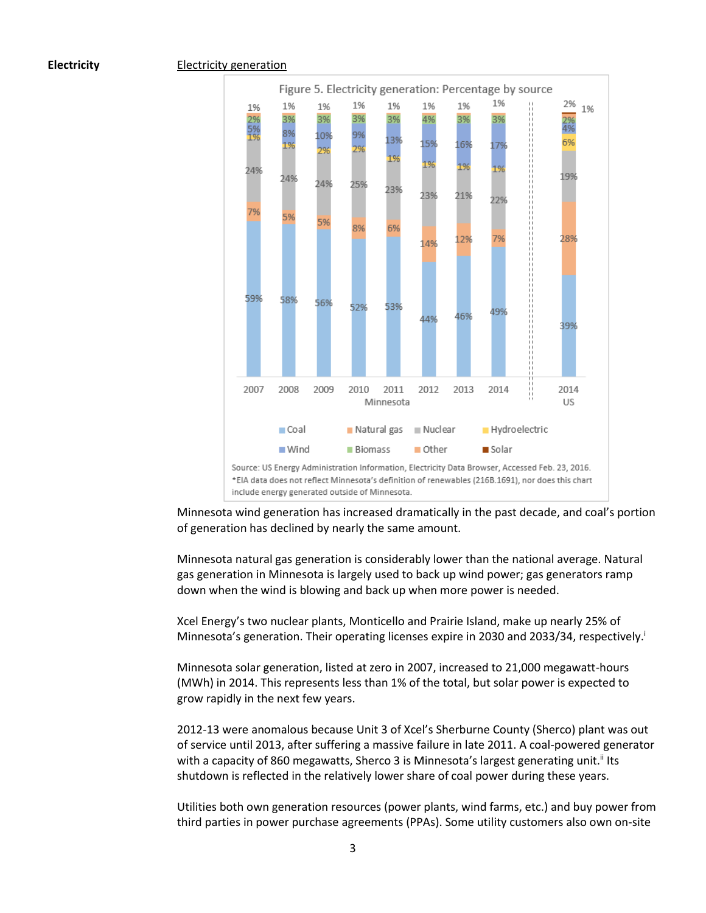#### **Electricity** Electricity generation



Minnesota wind generation has increased dramatically in the past decade, and coal's portion of generation has declined by nearly the same amount.

Minnesota natural gas generation is considerably lower than the national average. Natural gas generation in Minnesota is largely used to back up wind power; gas generators ramp down when the wind is blowing and back up when more power is needed.

Xcel Energy's two nuclear plants, Monticello and Prairie Island, make up nearly 25% of Minnesota's generation. Their operating licenses expire in 2030 and 2033/34, respectively.<sup>1</sup>

Minnesota solar generation, listed at zero in 2007, increased to 21,000 megawatt-hours (MWh) in 2014. This represents less than 1% of the total, but solar power is expected to grow rapidly in the next few years.

2012-13 were anomalous because Unit 3 of Xcel's Sherburne County (Sherco) plant was out of service until 2013, after suffering a massive failure in late 2011. A coal-powered generator with a capacity of 860 megawatts, Sherco 3 is Minnesota's largest generating unit.<sup>ii</sup> Its shutdown is reflected in the relatively lower share of coal power during these years.

Utilities both own generation resources (power plants, wind farms, etc.) and buy power from third parties in power purchase agreements (PPAs). Some utility customers also own on-site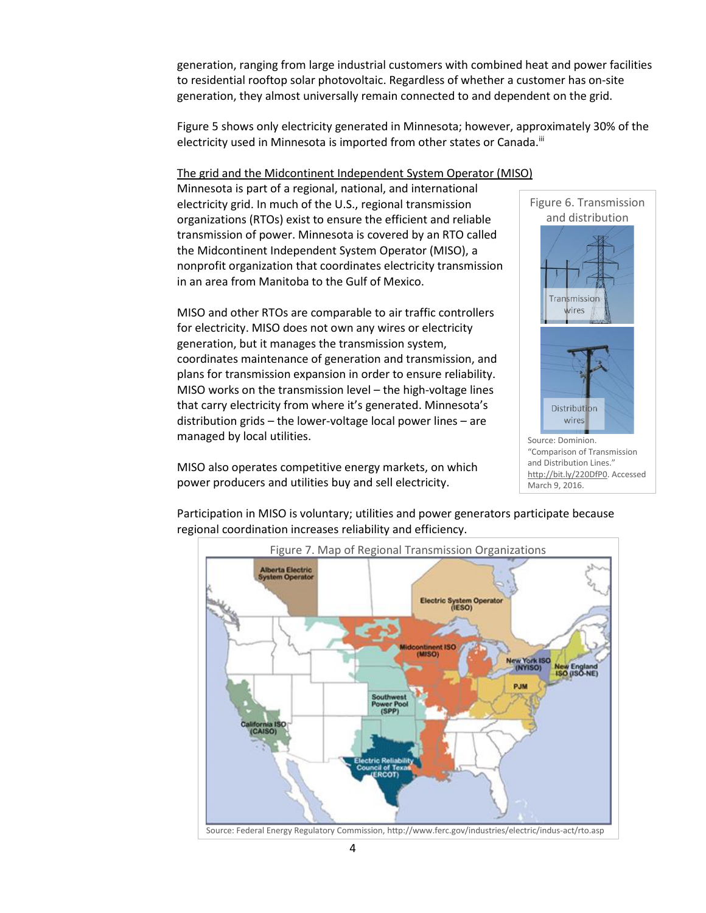generation, ranging from large industrial customers with combined heat and power facilities to residential rooftop solar photovoltaic. Regardless of whether a customer has on-site generation, they almost universally remain connected to and dependent on the grid.

Figure 5 shows only electricity generated in Minnesota; however, approximately 30% of the electricity used in Minnesota is imported from other states or Canada.<sup>iii</sup>

# The grid and the Midcontinent Independent System Operator (MISO)

Minnesota is part of a regional, national, and international electricity grid. In much of the U.S., regional transmission organizations (RTOs) exist to ensure the efficient and reliable transmission of power. Minnesota is covered by an RTO called the Midcontinent Independent System Operator (MISO), a nonprofit organization that coordinates electricity transmission in an area from Manitoba to the Gulf of Mexico.

MISO and other RTOs are comparable to air traffic controllers for electricity. MISO does not own any wires or electricity generation, but it manages the transmission system, coordinates maintenance of generation and transmission, and plans for transmission expansion in order to ensure reliability. MISO works on the transmission level – the high-voltage lines that carry electricity from where it's generated. Minnesota's distribution grids – the lower-voltage local power lines – are managed by local utilities.

MISO also operates competitive energy markets, on which power producers and utilities buy and sell electricity.



"Comparison of Transmission and Distribution Lines." [http://bit.ly/220DfP0.](http://bit.ly/220DfP0) Accessed March 9, 2016.

Participation in MISO is voluntary; utilities and power generators participate because regional coordination increases reliability and efficiency.

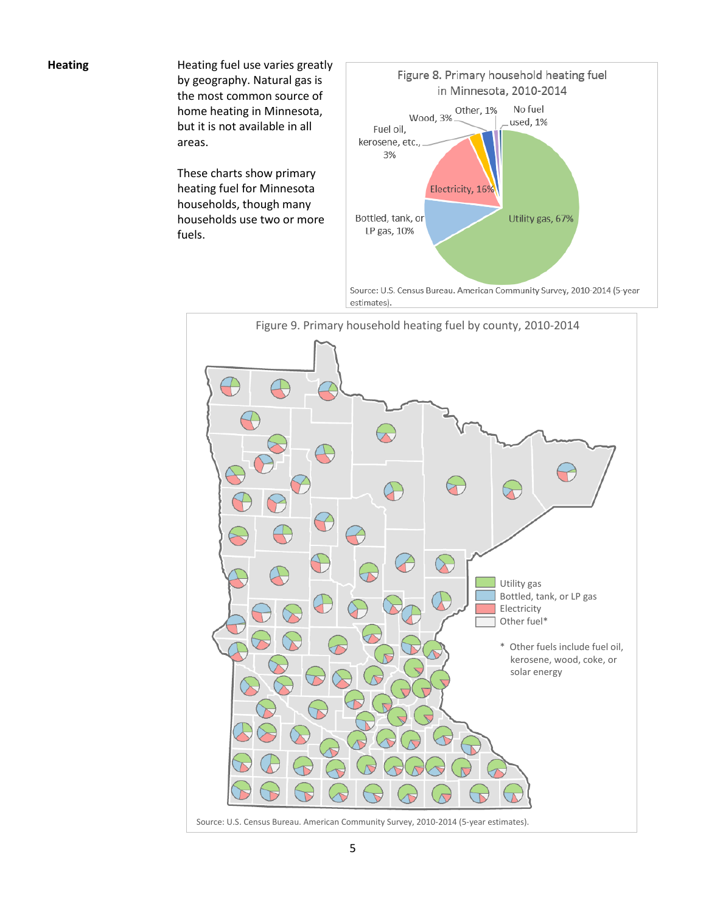**Heating Heating fuel use varies greatly** by geography. Natural gas is the most common source of home heating in Minnesota, but it is not available in all areas.

> These charts show primary heating fuel for Minnesota households, though many households use two or more fuels.



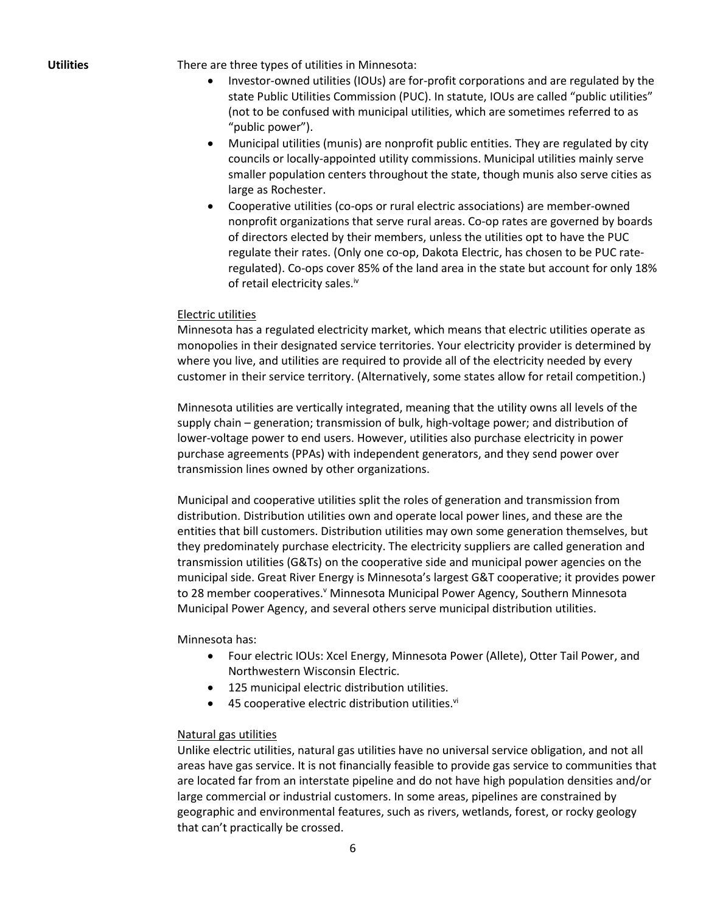**Utilities** There are three types of utilities in Minnesota:

- Investor-owned utilities (IOUs) are for-profit corporations and are regulated by the state Public Utilities Commission (PUC). In statute, IOUs are called "public utilities" (not to be confused with municipal utilities, which are sometimes referred to as "public power").
- Municipal utilities (munis) are nonprofit public entities. They are regulated by city councils or locally-appointed utility commissions. Municipal utilities mainly serve smaller population centers throughout the state, though munis also serve cities as large as Rochester.
- Cooperative utilities (co-ops or rural electric associations) are member-owned nonprofit organizations that serve rural areas. Co-op rates are governed by boards of directors elected by their members, unless the utilities opt to have the PUC regulate their rates. (Only one co-op, Dakota Electric, has chosen to be PUC rateregulated). Co-ops cover 85% of the land area in the state but account for only 18% of retail electricity sales.<sup>iv</sup>

### Electric utilities

Minnesota has a regulated electricity market, which means that electric utilities operate as monopolies in their designated service territories. Your electricity provider is determined by where you live, and utilities are required to provide all of the electricity needed by every customer in their service territory. (Alternatively, some states allow for retail competition.)

Minnesota utilities are vertically integrated, meaning that the utility owns all levels of the supply chain – generation; transmission of bulk, high-voltage power; and distribution of lower-voltage power to end users. However, utilities also purchase electricity in power purchase agreements (PPAs) with independent generators, and they send power over transmission lines owned by other organizations.

Municipal and cooperative utilities split the roles of generation and transmission from distribution. Distribution utilities own and operate local power lines, and these are the entities that bill customers. Distribution utilities may own some generation themselves, but they predominately purchase electricity. The electricity suppliers are called generation and transmission utilities (G&Ts) on the cooperative side and municipal power agencies on the municipal side. Great River Energy is Minnesota's largest G&T cooperative; it provides power to 28 member cooperatives. Y Minnesota Municipal Power Agency, Southern Minnesota Municipal Power Agency, and several others serve municipal distribution utilities.

Minnesota has:

- Four electric IOUs: Xcel Energy, Minnesota Power (Allete), Otter Tail Power, and Northwestern Wisconsin Electric.
- 125 municipal electric distribution utilities.
- $\bullet$  45 cooperative electric distribution utilities. $vi$

## Natural gas utilities

Unlike electric utilities, natural gas utilities have no universal service obligation, and not all areas have gas service. It is not financially feasible to provide gas service to communities that are located far from an interstate pipeline and do not have high population densities and/or large commercial or industrial customers. In some areas, pipelines are constrained by geographic and environmental features, such as rivers, wetlands, forest, or rocky geology that can't practically be crossed.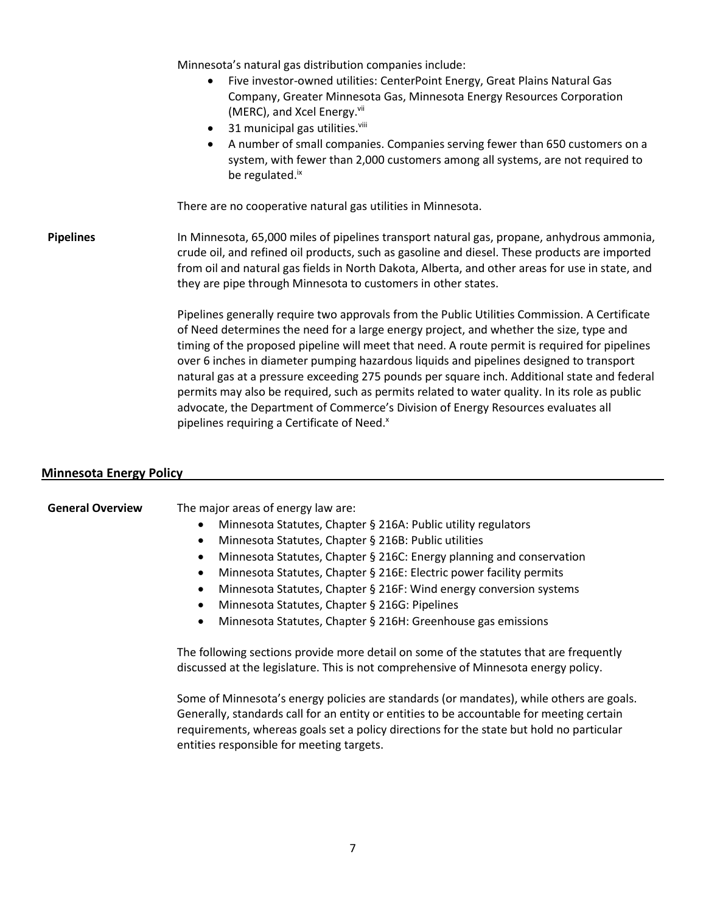Minnesota's natural gas distribution companies include:

- Five investor-owned utilities: CenterPoint Energy, Great Plains Natural Gas Company, Greater Minnesota Gas, Minnesota Energy Resources Corporation (MERC), and Xcel Energy. $V^{III}$
- $\bullet$  31 municipal gas utilities. $v^{iii}$
- A number of small companies. Companies serving fewer than 650 customers on a system, with fewer than 2,000 customers among all systems, are not required to be regulated.<sup>ix</sup>

There are no cooperative natural gas utilities in Minnesota.

**Pipelines** In Minnesota, 65,000 miles of pipelines transport natural gas, propane, anhydrous ammonia, crude oil, and refined oil products, such as gasoline and diesel. These products are imported from oil and natural gas fields in North Dakota, Alberta, and other areas for use in state, and they are pipe through Minnesota to customers in other states.

> Pipelines generally require two approvals from the Public Utilities Commission. A Certificate of Need determines the need for a large energy project, and whether the size, type and timing of the proposed pipeline will meet that need. A route permit is required for pipelines over 6 inches in diameter pumping hazardous liquids and pipelines designed to transport natural gas at a pressure exceeding 275 pounds per square inch. Additional state and federal permits may also be required, such as permits related to water quality. In its role as public advocate, the Department of Commerce's Division of Energy Resources evaluates all pipelines requiring a Certificate of Need.<sup>x</sup>

### **Minnesota Energy Policy**

# **General Overview** The major areas of energy law are:

- Minnesota Statutes, Chapter § 216A: Public utility regulators
- Minnesota Statutes, Chapter § 216B: Public utilities
- Minnesota Statutes, Chapter § 216C: Energy planning and conservation
- Minnesota Statutes, Chapter § 216E: Electric power facility permits
- Minnesota Statutes, Chapter § 216F: Wind energy conversion systems
- Minnesota Statutes, Chapter § 216G: Pipelines
- Minnesota Statutes, Chapter § 216H: Greenhouse gas emissions

The following sections provide more detail on some of the statutes that are frequently discussed at the legislature. This is not comprehensive of Minnesota energy policy.

Some of Minnesota's energy policies are standards (or mandates), while others are goals. Generally, standards call for an entity or entities to be accountable for meeting certain requirements, whereas goals set a policy directions for the state but hold no particular entities responsible for meeting targets.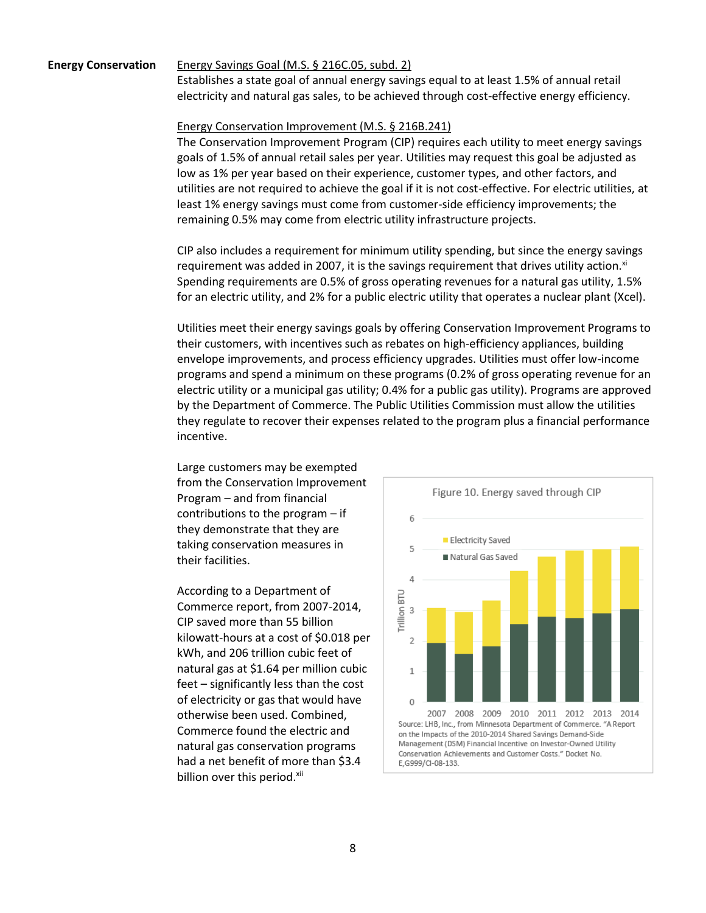#### **Energy Conservation** Energy Savings Goal (M.S. § 216C.05, subd. 2)

Establishes a state goal of annual energy savings equal to at least 1.5% of annual retail electricity and natural gas sales, to be achieved through cost-effective energy efficiency.

### Energy Conservation Improvement (M.S. § 216B.241)

The Conservation Improvement Program (CIP) requires each utility to meet energy savings goals of 1.5% of annual retail sales per year. Utilities may request this goal be adjusted as low as 1% per year based on their experience, customer types, and other factors, and utilities are not required to achieve the goal if it is not cost-effective. For electric utilities, at least 1% energy savings must come from customer-side efficiency improvements; the remaining 0.5% may come from electric utility infrastructure projects.

CIP also includes a requirement for minimum utility spending, but since the energy savings requirement was added in 2007, it is the savings requirement that drives utility action. $x^{i}$ Spending requirements are 0.5% of gross operating revenues for a natural gas utility, 1.5% for an electric utility, and 2% for a public electric utility that operates a nuclear plant (Xcel).

Utilities meet their energy savings goals by offering Conservation Improvement Programs to their customers, with incentives such as rebates on high-efficiency appliances, building envelope improvements, and process efficiency upgrades. Utilities must offer low-income programs and spend a minimum on these programs (0.2% of gross operating revenue for an electric utility or a municipal gas utility; 0.4% for a public gas utility). Programs are approved by the Department of Commerce. The Public Utilities Commission must allow the utilities they regulate to recover their expenses related to the program plus a financial performance incentive.

Large customers may be exempted from the Conservation Improvement Program – and from financial contributions to the program – if they demonstrate that they are taking conservation measures in their facilities.

According to a Department of Commerce report, from 2007-2014, CIP saved more than 55 billion kilowatt-hours at a cost of \$0.018 per kWh, and 206 trillion cubic feet of natural gas at \$1.64 per million cubic feet – significantly less than the cost of electricity or gas that would have otherwise been used. Combined, Commerce found the electric and natural gas conservation programs had a net benefit of more than \$3.4 billion over this period.<sup>xii</sup>

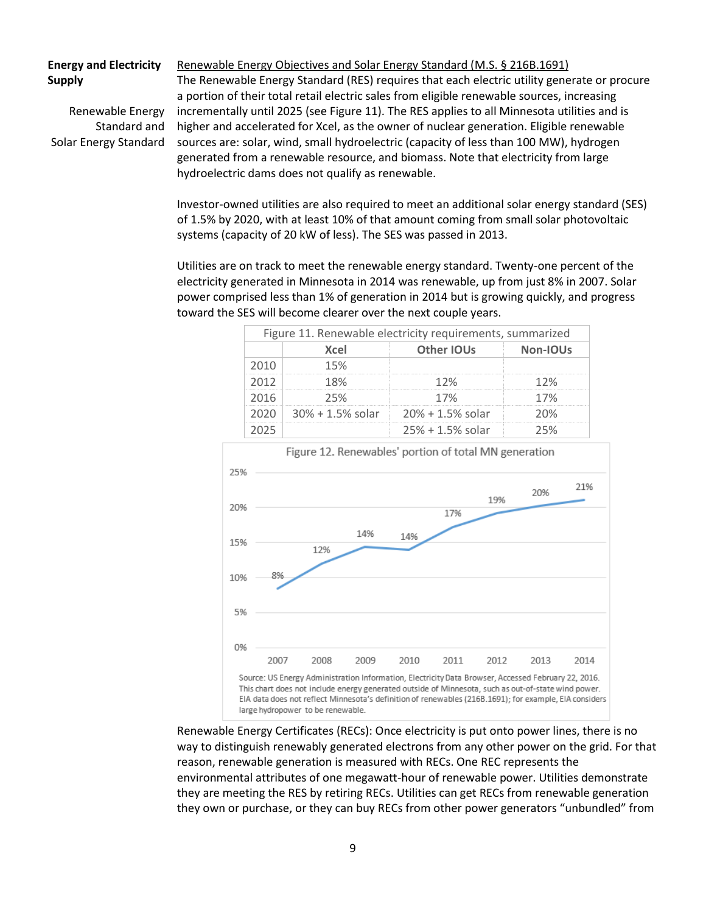# **Energy and Electricity Supply**

Renewable Energy Standard and Solar Energy Standard

Renewable Energy Objectives and Solar Energy Standard (M.S. § 216B.1691) The Renewable Energy Standard (RES) requires that each electric utility generate or procure a portion of their total retail electric sales from eligible renewable sources, increasing incrementally until 2025 (see Figure 11). The RES applies to all Minnesota utilities and is higher and accelerated for Xcel, as the owner of nuclear generation. Eligible renewable sources are: solar, wind, small hydroelectric (capacity of less than 100 MW), hydrogen generated from a renewable resource, and biomass. Note that electricity from large hydroelectric dams does not qualify as renewable.

Investor-owned utilities are also required to meet an additional solar energy standard (SES) of 1.5% by 2020, with at least 10% of that amount coming from small solar photovoltaic systems (capacity of 20 kW of less). The SES was passed in 2013.

Utilities are on track to meet the renewable energy standard. Twenty-one percent of the electricity generated in Minnesota in 2014 was renewable, up from just 8% in 2007. Solar power comprised less than 1% of generation in 2014 but is growing quickly, and progress toward the SES will become clearer over the next couple years.

| Figure 11. Renewable electricity requirements, summarized |                                                 |                    |          |
|-----------------------------------------------------------|-------------------------------------------------|--------------------|----------|
|                                                           | Xcel                                            | Other IOUs         | Non-IOUs |
|                                                           | 15%                                             |                    |          |
| 2012                                                      | 18%                                             | 12%                |          |
| 2016                                                      | フト%                                             | 17%                | 17%      |
|                                                           | $\frac{1}{2}$ 30% + 1.5% solar 20% + 1.5% solar |                    | ንበ%      |
|                                                           |                                                 | $25% + 1.5%$ solar |          |



Renewable Energy Certificates (RECs): Once electricity is put onto power lines, there is no way to distinguish renewably generated electrons from any other power on the grid. For that reason, renewable generation is measured with RECs. One REC represents the environmental attributes of one megawatt-hour of renewable power. Utilities demonstrate they are meeting the RES by retiring RECs. Utilities can get RECs from renewable generation they own or purchase, or they can buy RECs from other power generators "unbundled" from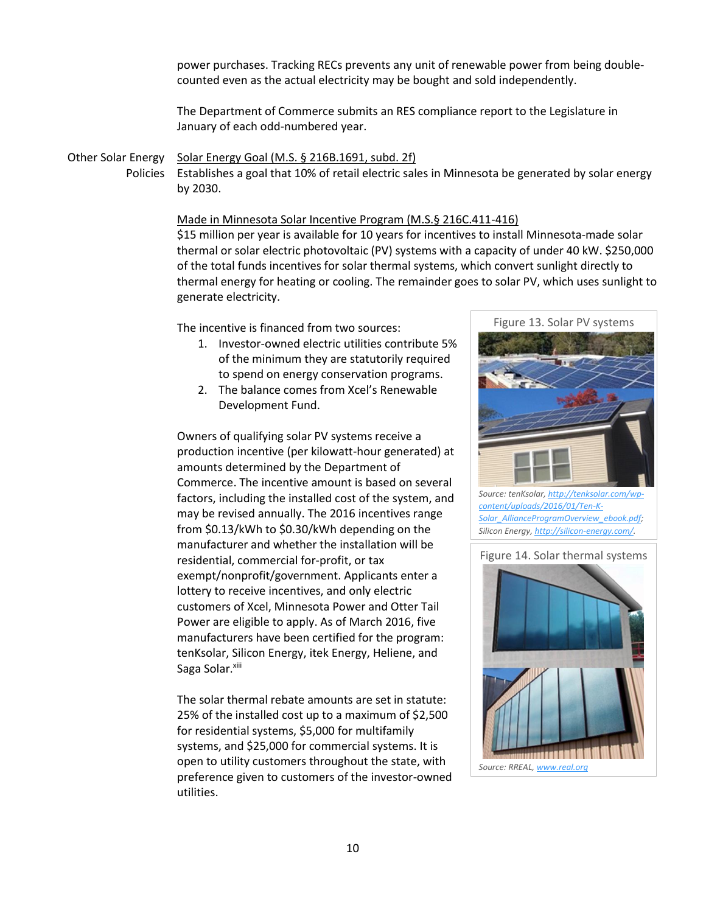power purchases. Tracking RECs prevents any unit of renewable power from being doublecounted even as the actual electricity may be bought and sold independently.

The Department of Commerce submits an RES compliance report to the Legislature in January of each odd-numbered year.

Other Solar Energy Solar Energy Goal (M.S. § 216B.1691, subd. 2f) Policies Establishes a goal that 10% of retail electric sales in Minnesota be generated by solar energy by 2030.

#### Made in Minnesota Solar Incentive Program (M.S.§ 216C.411-416)

\$15 million per year is available for 10 years for incentives to install Minnesota-made solar thermal or solar electric photovoltaic (PV) systems with a capacity of under 40 kW. \$250,000 of the total funds incentives for solar thermal systems, which convert sunlight directly to thermal energy for heating or cooling. The remainder goes to solar PV, which uses sunlight to generate electricity.

The incentive is financed from two sources:

- 1. Investor-owned electric utilities contribute 5% of the minimum they are statutorily required to spend on energy conservation programs.
- 2. The balance comes from Xcel's Renewable Development Fund.

Owners of qualifying solar PV systems receive a production incentive (per kilowatt-hour generated) at amounts determined by the Department of Commerce. The incentive amount is based on several factors, including the installed cost of the system, and may be revised annually. The 2016 incentives range from \$0.13/kWh to \$0.30/kWh depending on the manufacturer and whether the installation will be residential, commercial for-profit, or tax exempt/nonprofit/government. Applicants enter a lottery to receive incentives, and only electric customers of Xcel, Minnesota Power and Otter Tail Power are eligible to apply. As of March 2016, five manufacturers have been certified for the program: tenKsolar, Silicon Energy, itek Energy, Heliene, and Saga Solar.<sup>xiii</sup>

The solar thermal rebate amounts are set in statute: 25% of the installed cost up to a maximum of \$2,500 for residential systems, \$5,000 for multifamily systems, and \$25,000 for commercial systems. It is open to utility customers throughout the state, with preference given to customers of the investor-owned utilities.



*[content/uploads/2016/01/Ten-K-](http://tenksolar.com/wp-content/uploads/2016/01/Ten-K-Solar_AllianceProgramOverview_ebook.pdf)[Solar\\_AllianceProgramOverview\\_ebook.pdf;](http://tenksolar.com/wp-content/uploads/2016/01/Ten-K-Solar_AllianceProgramOverview_ebook.pdf) Silicon Energy[, http://silicon-energy.com/.](http://silicon-energy.com/)* 

Figure 14. Solar thermal systems

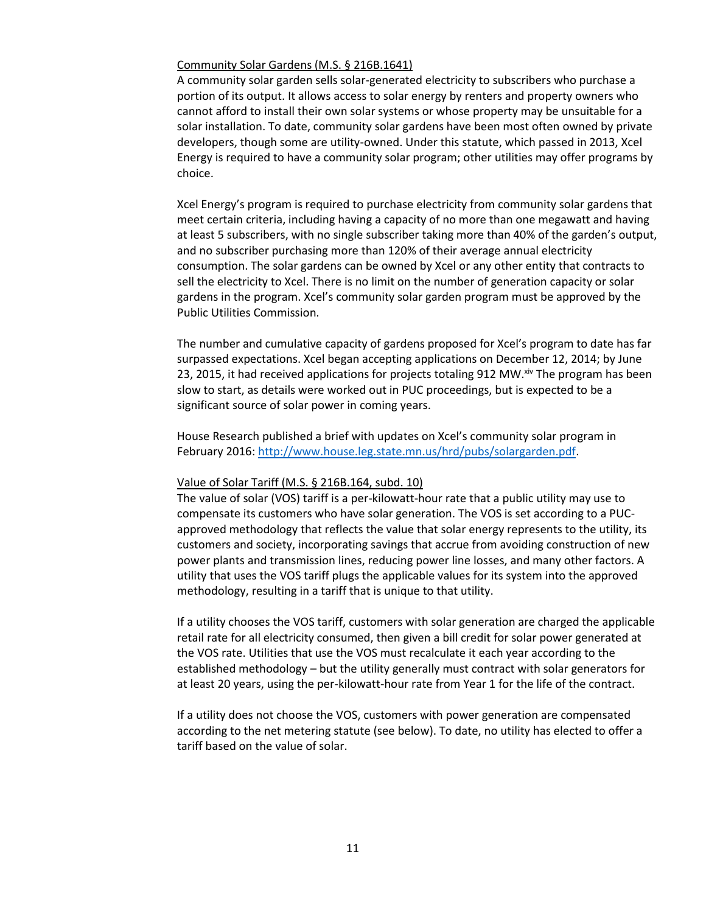#### Community Solar Gardens (M.S. § 216B.1641)

A community solar garden sells solar-generated electricity to subscribers who purchase a portion of its output. It allows access to solar energy by renters and property owners who cannot afford to install their own solar systems or whose property may be unsuitable for a solar installation. To date, community solar gardens have been most often owned by private developers, though some are utility-owned. Under this statute, which passed in 2013, Xcel Energy is required to have a community solar program; other utilities may offer programs by choice.

Xcel Energy's program is required to purchase electricity from community solar gardens that meet certain criteria, including having a capacity of no more than one megawatt and having at least 5 subscribers, with no single subscriber taking more than 40% of the garden's output, and no subscriber purchasing more than 120% of their average annual electricity consumption. The solar gardens can be owned by Xcel or any other entity that contracts to sell the electricity to Xcel. There is no limit on the number of generation capacity or solar gardens in the program. Xcel's community solar garden program must be approved by the Public Utilities Commission.

The number and cumulative capacity of gardens proposed for Xcel's program to date has far surpassed expectations. Xcel began accepting applications on December 12, 2014; by June 23, 2015, it had received applications for projects totaling 912 MW.<sup>xiv</sup> The program has been slow to start, as details were worked out in PUC proceedings, but is expected to be a significant source of solar power in coming years.

House Research published a brief with updates on Xcel's community solar program in February 2016: [http://www.house.leg.state.mn.us/hrd/pubs/solargarden.pdf.](http://www.house.leg.state.mn.us/hrd/pubs/solargarden.pdf)

#### Value of Solar Tariff (M.S. § 216B.164, subd. 10)

The value of solar (VOS) tariff is a per-kilowatt-hour rate that a public utility may use to compensate its customers who have solar generation. The VOS is set according to a PUCapproved methodology that reflects the value that solar energy represents to the utility, its customers and society, incorporating savings that accrue from avoiding construction of new power plants and transmission lines, reducing power line losses, and many other factors. A utility that uses the VOS tariff plugs the applicable values for its system into the approved methodology, resulting in a tariff that is unique to that utility.

If a utility chooses the VOS tariff, customers with solar generation are charged the applicable retail rate for all electricity consumed, then given a bill credit for solar power generated at the VOS rate. Utilities that use the VOS must recalculate it each year according to the established methodology – but the utility generally must contract with solar generators for at least 20 years, using the per-kilowatt-hour rate from Year 1 for the life of the contract.

If a utility does not choose the VOS, customers with power generation are compensated according to the net metering statute (see below). To date, no utility has elected to offer a tariff based on the value of solar.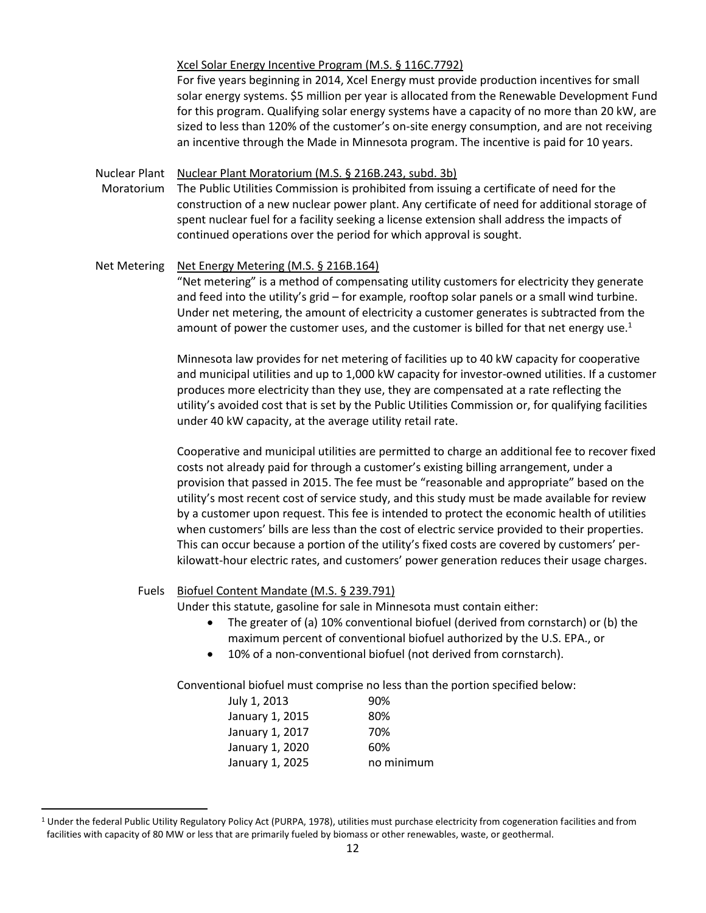Xcel Solar Energy Incentive Program (M.S. § 116C.7792)

For five years beginning in 2014, Xcel Energy must provide production incentives for small solar energy systems. \$5 million per year is allocated from the Renewable Development Fund for this program. Qualifying solar energy systems have a capacity of no more than 20 kW, are sized to less than 120% of the customer's on-site energy consumption, and are not receiving an incentive through the Made in Minnesota program. The incentive is paid for 10 years.

Nuclear Plant Nuclear Plant Moratorium (M.S. § 216B.243, subd. 3b)

Moratorium The Public Utilities Commission is prohibited from issuing a certificate of need for the construction of a new nuclear power plant. Any certificate of need for additional storage of spent nuclear fuel for a facility seeking a license extension shall address the impacts of continued operations over the period for which approval is sought.

Net Metering Net Energy Metering (M.S. § 216B.164) "Net metering" is a method of compensating utility customers for electricity they generate and feed into the utility's grid – for example, rooftop solar panels or a small wind turbine. Under net metering, the amount of electricity a customer generates is subtracted from the amount of power the customer uses, and the customer is billed for that net energy use. $1$ 

> Minnesota law provides for net metering of facilities up to 40 kW capacity for cooperative and municipal utilities and up to 1,000 kW capacity for investor-owned utilities. If a customer produces more electricity than they use, they are compensated at a rate reflecting the utility's avoided cost that is set by the Public Utilities Commission or, for qualifying facilities under 40 kW capacity, at the average utility retail rate.

> Cooperative and municipal utilities are permitted to charge an additional fee to recover fixed costs not already paid for through a customer's existing billing arrangement, under a provision that passed in 2015. The fee must be "reasonable and appropriate" based on the utility's most recent cost of service study, and this study must be made available for review by a customer upon request. This fee is intended to protect the economic health of utilities when customers' bills are less than the cost of electric service provided to their properties. This can occur because a portion of the utility's fixed costs are covered by customers' perkilowatt-hour electric rates, and customers' power generation reduces their usage charges.

### Fuels Biofuel Content Mandate (M.S. § 239.791)

 $\overline{a}$ 

Under this statute, gasoline for sale in Minnesota must contain either:

- The greater of (a) 10% conventional biofuel (derived from cornstarch) or (b) the maximum percent of conventional biofuel authorized by the U.S. EPA., or
- 10% of a non-conventional biofuel (not derived from cornstarch).

Conventional biofuel must comprise no less than the portion specified below:

| July 1, 2013    | 90%        |
|-----------------|------------|
| January 1, 2015 | 80%        |
| January 1, 2017 | 70%        |
| January 1, 2020 | 60%        |
| January 1, 2025 | no minimum |

<sup>&</sup>lt;sup>1</sup> Under the federal Public Utility Regulatory Policy Act (PURPA, 1978), utilities must purchase electricity from cogeneration facilities and from facilities with capacity of 80 MW or less that are primarily fueled by biomass or other renewables, waste, or geothermal.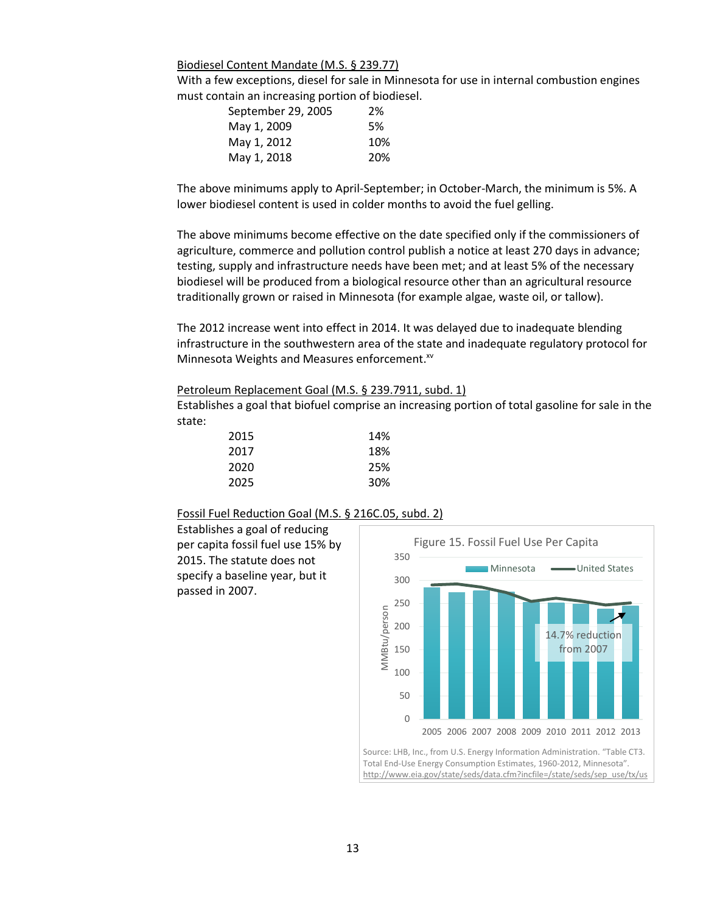Biodiesel Content Mandate (M.S. § 239.77)

With a few exceptions, diesel for sale in Minnesota for use in internal combustion engines must contain an increasing portion of biodiesel.

| September 29, 2005 | 2%  |
|--------------------|-----|
| May 1, 2009        | .5% |
| May 1, 2012        | 10% |
| May 1, 2018        | 20% |

The above minimums apply to April-September; in October-March, the minimum is 5%. A lower biodiesel content is used in colder months to avoid the fuel gelling.

The above minimums become effective on the date specified only if the commissioners of agriculture, commerce and pollution control publish a notice at least 270 days in advance; testing, supply and infrastructure needs have been met; and at least 5% of the necessary biodiesel will be produced from a biological resource other than an agricultural resource traditionally grown or raised in Minnesota (for example algae, waste oil, or tallow).

The 2012 increase went into effect in 2014. It was delayed due to inadequate blending infrastructure in the southwestern area of the state and inadequate regulatory protocol for Minnesota Weights and Measures enforcement.<sup>xv</sup>

#### Petroleum Replacement Goal (M.S. § 239.7911, subd. 1)

Establishes a goal that biofuel comprise an increasing portion of total gasoline for sale in the state:

| 2015 | 14% |
|------|-----|
| 2017 | 18% |
| 2020 | 25% |
| 2025 | 30% |

#### Fossil Fuel Reduction Goal (M.S. § 216C.05, subd. 2)

Establishes a goal of reducing per capita fossil fuel use 15% by 2015. The statute does not specify a baseline year, but it passed in 2007.

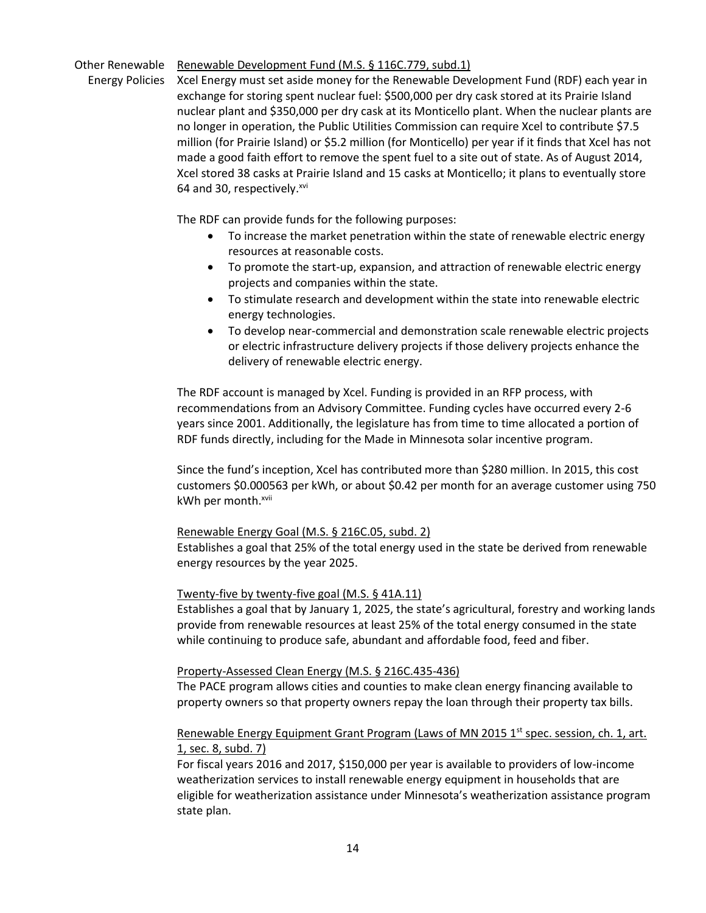# Other Renewable Renewable Development Fund (M.S. § 116C.779, subd.1)

Energy Policies Xcel Energy must set aside money for the Renewable Development Fund (RDF) each year in exchange for storing spent nuclear fuel: \$500,000 per dry cask stored at its Prairie Island nuclear plant and \$350,000 per dry cask at its Monticello plant. When the nuclear plants are no longer in operation, the Public Utilities Commission can require Xcel to contribute \$7.5 million (for Prairie Island) or \$5.2 million (for Monticello) per year if it finds that Xcel has not made a good faith effort to remove the spent fuel to a site out of state. As of August 2014, Xcel stored 38 casks at Prairie Island and 15 casks at Monticello; it plans to eventually store 64 and 30, respectively.<sup>xvi</sup>

The RDF can provide funds for the following purposes:

- To increase the market penetration within the state of renewable electric energy resources at reasonable costs.
- To promote the start-up, expansion, and attraction of renewable electric energy projects and companies within the state.
- To stimulate research and development within the state into renewable electric energy technologies.
- To develop near-commercial and demonstration scale renewable electric projects or electric infrastructure delivery projects if those delivery projects enhance the delivery of renewable electric energy.

The RDF account is managed by Xcel. Funding is provided in an RFP process, with recommendations from an Advisory Committee. Funding cycles have occurred every 2-6 years since 2001. Additionally, the legislature has from time to time allocated a portion of RDF funds directly, including for the Made in Minnesota solar incentive program.

Since the fund's inception, Xcel has contributed more than \$280 million. In 2015, this cost customers \$0.000563 per kWh, or about \$0.42 per month for an average customer using 750 kWh per month.<sup>xvii</sup>

# Renewable Energy Goal (M.S. § 216C.05, subd. 2)

Establishes a goal that 25% of the total energy used in the state be derived from renewable energy resources by the year 2025.

# Twenty-five by twenty-five goal (M.S. § 41A.11)

Establishes a goal that by January 1, 2025, the state's agricultural, forestry and working lands provide from renewable resources at least 25% of the total energy consumed in the state while continuing to produce safe, abundant and affordable food, feed and fiber.

# Property-Assessed Clean Energy (M.S. § 216C.435-436)

The PACE program allows cities and counties to make clean energy financing available to property owners so that property owners repay the loan through their property tax bills.

# Renewable Energy Equipment Grant Program (Laws of MN 2015 1<sup>st</sup> spec. session, ch. 1, art. 1, sec. 8, subd. 7)

For fiscal years 2016 and 2017, \$150,000 per year is available to providers of low-income weatherization services to install renewable energy equipment in households that are eligible for weatherization assistance under Minnesota's weatherization assistance program state plan.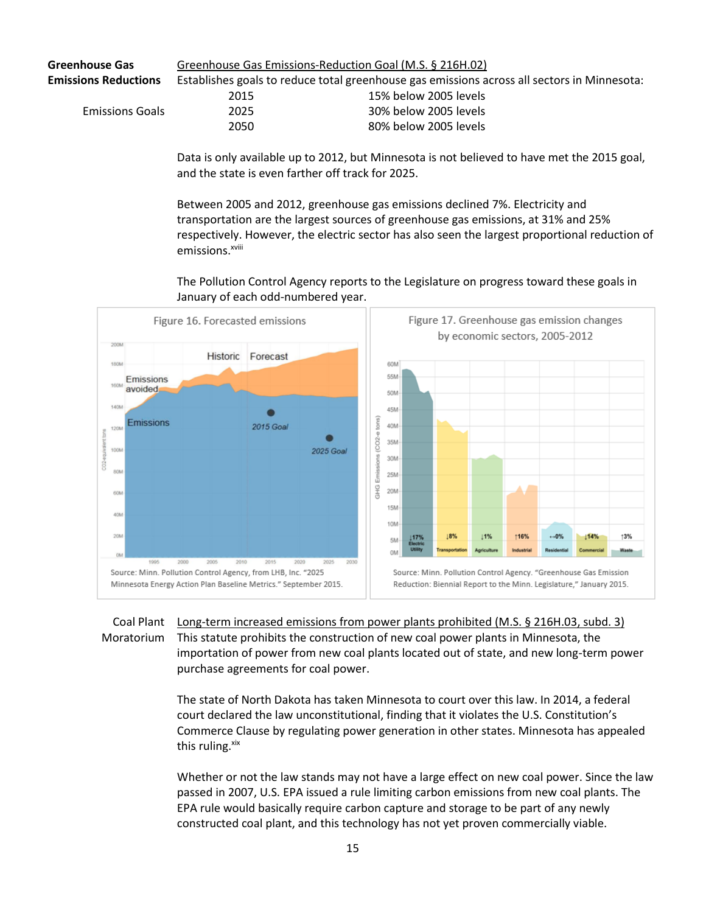| <b>Greenhouse Gas</b>       | Greenhouse Gas Emissions-Reduction Goal (M.S. § 216H.02) |                                                                                             |  |
|-----------------------------|----------------------------------------------------------|---------------------------------------------------------------------------------------------|--|
| <b>Emissions Reductions</b> |                                                          | Establishes goals to reduce total greenhouse gas emissions across all sectors in Minnesota: |  |
|                             | 2015                                                     | 15% below 2005 levels                                                                       |  |
| <b>Emissions Goals</b>      | 2025                                                     | 30% below 2005 levels                                                                       |  |
|                             | 2050                                                     | 80% below 2005 levels                                                                       |  |

Data is only available up to 2012, but Minnesota is not believed to have met the 2015 goal, and the state is even farther off track for 2025.

Between 2005 and 2012, greenhouse gas emissions declined 7%. Electricity and transportation are the largest sources of greenhouse gas emissions, at 31% and 25% respectively. However, the electric sector has also seen the largest proportional reduction of emissions.<sup>xviii</sup>

The Pollution Control Agency reports to the Legislature on progress toward these goals in January of each odd-numbered year.



# Coal Plant Long-term increased emissions from power plants prohibited (M.S. § 216H.03, subd. 3) Moratorium This statute prohibits the construction of new coal power plants in Minnesota, the importation of power from new coal plants located out of state, and new long-term power purchase agreements for coal power.

The state of North Dakota has taken Minnesota to court over this law. In 2014, a federal court declared the law unconstitutional, finding that it violates the U.S. Constitution's Commerce Clause by regulating power generation in other states. Minnesota has appealed this ruling.<sup>xix</sup>

Whether or not the law stands may not have a large effect on new coal power. Since the law passed in 2007, U.S. EPA issued a rule limiting carbon emissions from new coal plants. The EPA rule would basically require carbon capture and storage to be part of any newly constructed coal plant, and this technology has not yet proven commercially viable.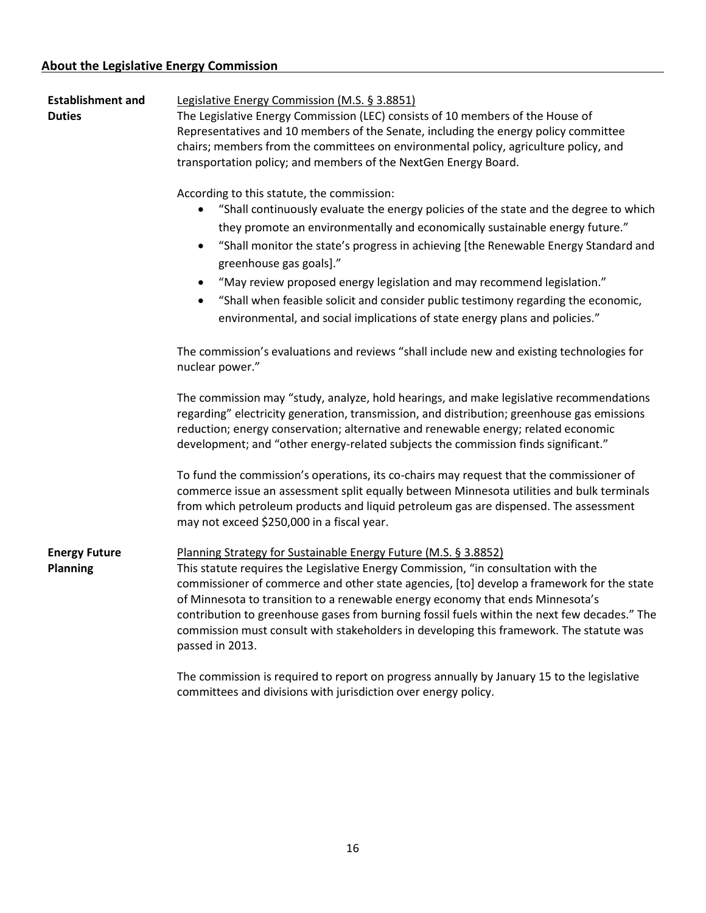| <b>Establishment and</b><br><b>Duties</b> | Legislative Energy Commission (M.S. § 3.8851)<br>The Legislative Energy Commission (LEC) consists of 10 members of the House of<br>Representatives and 10 members of the Senate, including the energy policy committee<br>chairs; members from the committees on environmental policy, agriculture policy, and<br>transportation policy; and members of the NextGen Energy Board.                                                                                                                                                                                                                                            |  |  |  |
|-------------------------------------------|------------------------------------------------------------------------------------------------------------------------------------------------------------------------------------------------------------------------------------------------------------------------------------------------------------------------------------------------------------------------------------------------------------------------------------------------------------------------------------------------------------------------------------------------------------------------------------------------------------------------------|--|--|--|
|                                           | According to this statute, the commission:<br>"Shall continuously evaluate the energy policies of the state and the degree to which<br>they promote an environmentally and economically sustainable energy future."<br>"Shall monitor the state's progress in achieving [the Renewable Energy Standard and<br>$\bullet$<br>greenhouse gas goals]."<br>"May review proposed energy legislation and may recommend legislation."<br>$\bullet$<br>"Shall when feasible solicit and consider public testimony regarding the economic,<br>$\bullet$<br>environmental, and social implications of state energy plans and policies." |  |  |  |
|                                           | The commission's evaluations and reviews "shall include new and existing technologies for<br>nuclear power."                                                                                                                                                                                                                                                                                                                                                                                                                                                                                                                 |  |  |  |
|                                           | The commission may "study, analyze, hold hearings, and make legislative recommendations<br>regarding" electricity generation, transmission, and distribution; greenhouse gas emissions<br>reduction; energy conservation; alternative and renewable energy; related economic<br>development; and "other energy-related subjects the commission finds significant."                                                                                                                                                                                                                                                           |  |  |  |
|                                           | To fund the commission's operations, its co-chairs may request that the commissioner of<br>commerce issue an assessment split equally between Minnesota utilities and bulk terminals<br>from which petroleum products and liquid petroleum gas are dispensed. The assessment<br>may not exceed \$250,000 in a fiscal year.                                                                                                                                                                                                                                                                                                   |  |  |  |
| <b>Energy Future</b><br><b>Planning</b>   | Planning Strategy for Sustainable Energy Future (M.S. § 3.8852)<br>This statute requires the Legislative Energy Commission, "in consultation with the<br>commissioner of commerce and other state agencies, [to] develop a framework for the state<br>of Minnesota to transition to a renewable energy economy that ends Minnesota's<br>contribution to greenhouse gases from burning fossil fuels within the next few decades." The<br>commission must consult with stakeholders in developing this framework. The statute was<br>passed in 2013.                                                                           |  |  |  |
|                                           | The commission is required to report on progress annually by January 15 to the legislative<br>committees and divisions with jurisdiction over energy policy.                                                                                                                                                                                                                                                                                                                                                                                                                                                                 |  |  |  |